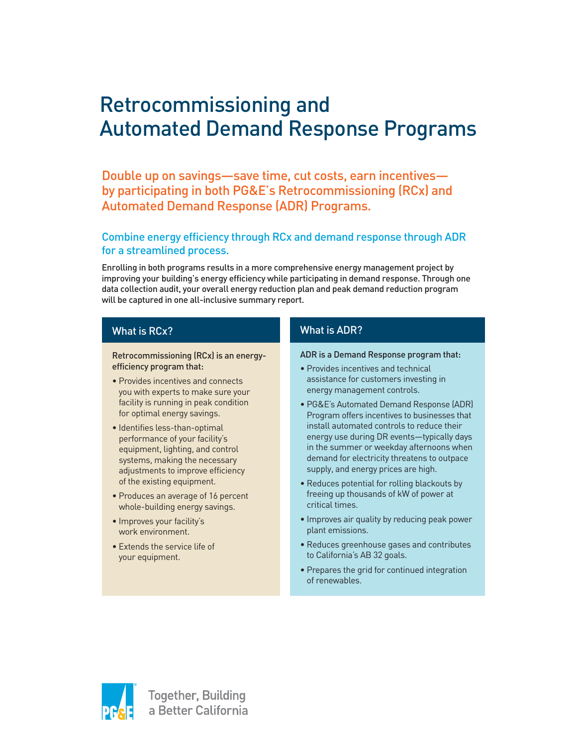# Retrocommissioning and Automated Demand Response Programs

Double up on savings—save time, cut costs, earn incentives by participating in both PG&E's Retrocommissioning (RCx) and Automated Demand Response (ADR) Programs.

# Combine energy efficiency through RCx and demand response through ADR for a streamlined process.

Enrolling in both programs results in a more comprehensive energy management project by improving your building's energy efficiency while participating in demand response. Through one data collection audit, your overall energy reduction plan and peak demand reduction program will be captured in one all-inclusive summary report.

# What is RCx?

Retrocommissioning (RCx) is an energyefficiency program that:

- Provides incentives and connects you with experts to make sure your facility is running in peak condition for optimal energy savings.
- Identifies less-than-optimal performance of your facility's equipment, lighting, and control systems, making the necessary adjustments to improve efficiency of the existing equipment.
- Produces an average of 16 percent whole-building energy savings.
- Improves your facility's work environment.
- Extends the service life of your equipment.

# What is ADR?

#### ADR is a Demand Response program that:

- Provides incentives and technical assistance for customers investing in energy management controls.
- PG&E's Automated Demand Response (ADR) Program offers incentives to businesses that install automated controls to reduce their energy use during DR events—typically days in the summer or weekday afternoons when demand for electricity threatens to outpace supply, and energy prices are high.
- Reduces potential for rolling blackouts by freeing up thousands of kW of power at critical times.
- Improves air quality by reducing peak power plant emissions.
- Reduces greenhouse gases and contributes to California's AB 32 goals.
- Prepares the grid for continued integration of renewables.

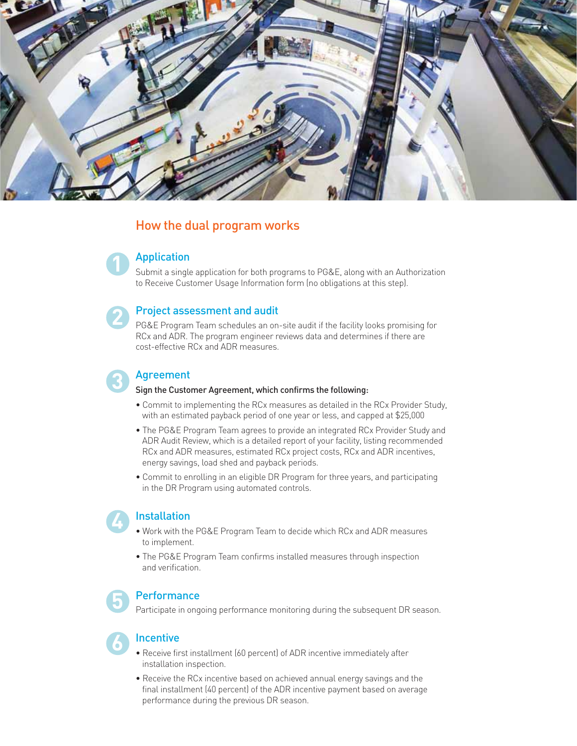

# How the dual program works

# Application

**2**

**3**

**4**

**5**

**6**

Submit a single application for both programs to PG&E, along with an Authorization to Receive Customer Usage Information form (no obligations at this step).

### Project assessment and audit

PG&E Program Team schedules an on-site audit if the facility looks promising for RCx and ADR. The program engineer reviews data and determines if there are cost-effective RCx and ADR measures.

# Agreement

#### Sign the Customer Agreement, which confirms the following:

- Commit to implementing the RCx measures as detailed in the RCx Provider Study, with an estimated payback period of one year or less, and capped at \$25,000
- The PG&E Program Team agrees to provide an integrated RCx Provider Study and ADR Audit Review, which is a detailed report of your facility, listing recommended RCx and ADR measures, estimated RCx project costs, RCx and ADR incentives, energy savings, load shed and payback periods.
- Commit to enrolling in an eligible DR Program for three years, and participating in the DR Program using automated controls.

# **Installation**

- Work with the PG&E Program Team to decide which RCx and ADR measures to implement.
- The PG&E Program Team confirms installed measures through inspection and verification.

# **Performance**

Participate in ongoing performance monitoring during the subsequent DR season.

### **Incentive**

- Receive first installment (60 percent) of ADR incentive immediately after installation inspection.
- Receive the RCx incentive based on achieved annual energy savings and the final installment (40 percent) of the ADR incentive payment based on average performance during the previous DR season.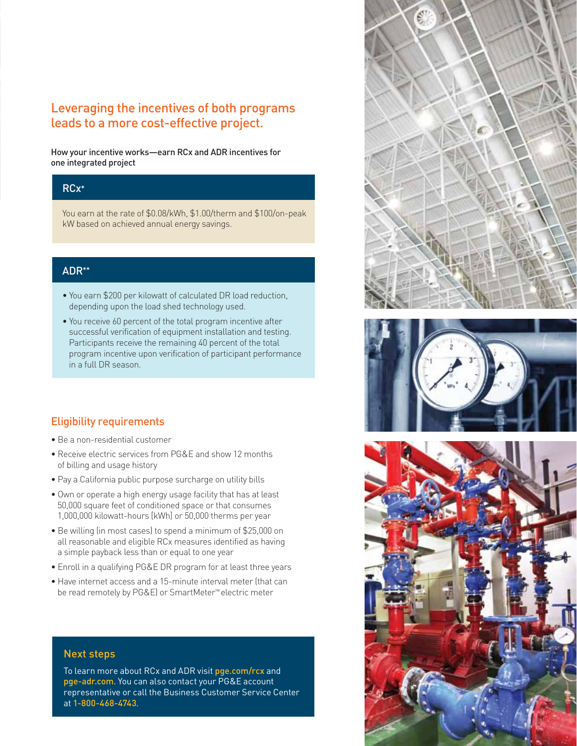# Leveraging the incentives of both programs leads to a more cost-effective project.

How your incentive works—earn RCx and ADR incentives for one integrated project

# RCx\*

You earn at the rate of \$0.08/kWh, \$1.00/therm and \$100/on-peak kW based on achieved annual energy savings.

# ADR\*\*

- You earn \$200 per kilowatt of calculated DR load reduction, depending upon the load shed technology used.
- You receive 60 percent of the total program incentive after successful verification of equipment installation and testing. Participants receive the remaining 40 percent of the total program incentive upon verification of participant performance in a full DR season.

# Eligibility requirements

- Be a non-residential customer
- Receive electric services from PG&E and show 12 months of billing and usage history
- Pay a California public purpose surcharge on utility bills
- Own or operate a high energy usage facility that has at least 50,000 square feet of conditioned space or that consumes 1,000,000 kilowatt-hours [kWh] or 50,000 therms per year
- Be willing (in most cases) to spend a minimum of \$25,000 on all reasonable and eligible RCx measures identified as having a simple payback less than or equal to one year
- Enroll in a qualifying PG&E DR program for at least three years
- Have internet access and a 15-minute interval meter (that can be read remotely by PG&E) or SmartMeter™ electric meter



To learn more about RCx and ADR visit pge.com/rcx and pge-adr.com. You can also contact your PG&E account representative or call the Business Customer Service Center at 1-800-468-4743.